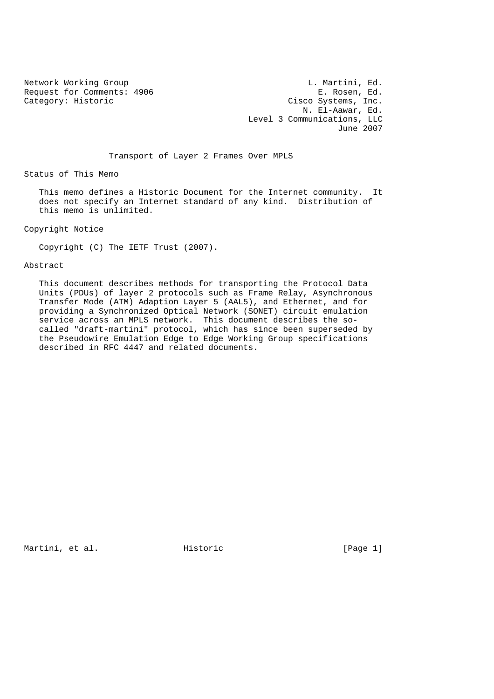Request for Comments: 4906<br>Category: Historic

Network Working Group<br>Request for Comments: 4906 Commet E. Rosen, Ed. Cisco Systems, Inc. N. El-Aawar, Ed. Level 3 Communications, LLC June 2007

Transport of Layer 2 Frames Over MPLS

Status of This Memo

 This memo defines a Historic Document for the Internet community. It does not specify an Internet standard of any kind. Distribution of this memo is unlimited.

Copyright Notice

Copyright (C) The IETF Trust (2007).

Abstract

 This document describes methods for transporting the Protocol Data Units (PDUs) of layer 2 protocols such as Frame Relay, Asynchronous Transfer Mode (ATM) Adaption Layer 5 (AAL5), and Ethernet, and for providing a Synchronized Optical Network (SONET) circuit emulation service across an MPLS network. This document describes the so called "draft-martini" protocol, which has since been superseded by the Pseudowire Emulation Edge to Edge Working Group specifications described in RFC 4447 and related documents.

Martini, et al. Historic [Page 1]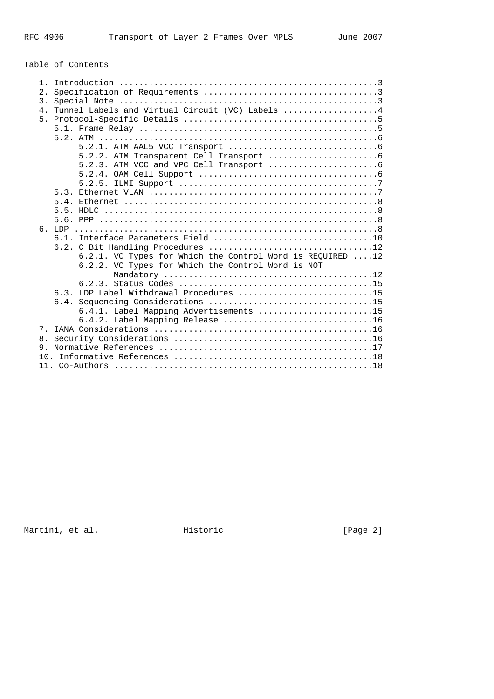# Table of Contents

| $1$ .          |                                                           |
|----------------|-----------------------------------------------------------|
| $2$ .          |                                                           |
| 3.             |                                                           |
| 4 <sub>1</sub> | Tunnel Labels and Virtual Circuit (VC) Labels  4          |
| 5.             |                                                           |
|                |                                                           |
|                |                                                           |
|                |                                                           |
|                |                                                           |
|                |                                                           |
|                |                                                           |
|                |                                                           |
|                |                                                           |
|                |                                                           |
|                |                                                           |
|                |                                                           |
|                |                                                           |
|                |                                                           |
|                |                                                           |
|                | 6.2.1. VC Types for Which the Control Word is REQUIRED 12 |
|                | 6.2.2. VC Types for Which the Control Word is NOT         |
|                |                                                           |
|                |                                                           |
|                | 6.3. LDP Label Withdrawal Procedures 15                   |
|                |                                                           |
|                | 6.4.1. Label Mapping Advertisements 15                    |
|                | 6.4.2. Label Mapping Release 16                           |
| 7.             |                                                           |
|                |                                                           |
|                |                                                           |
|                |                                                           |
|                |                                                           |

Martini, et al. Historic [Page 2]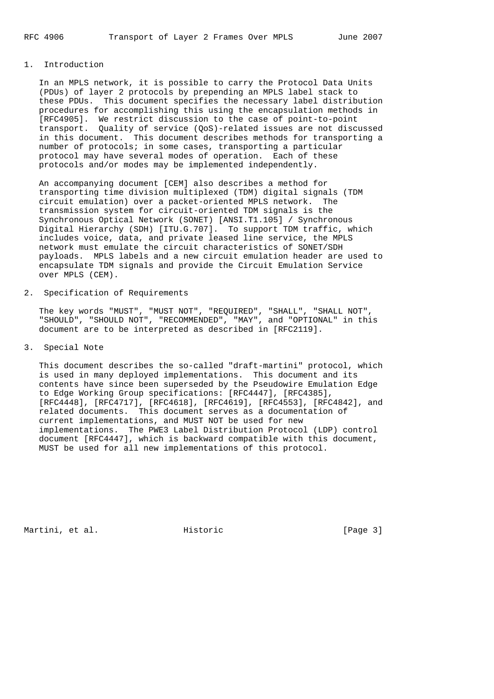## 1. Introduction

 In an MPLS network, it is possible to carry the Protocol Data Units (PDUs) of layer 2 protocols by prepending an MPLS label stack to these PDUs. This document specifies the necessary label distribution procedures for accomplishing this using the encapsulation methods in [RFC4905]. We restrict discussion to the case of point-to-point transport. Quality of service (QoS)-related issues are not discussed in this document. This document describes methods for transporting a number of protocols; in some cases, transporting a particular protocol may have several modes of operation. Each of these protocols and/or modes may be implemented independently.

 An accompanying document [CEM] also describes a method for transporting time division multiplexed (TDM) digital signals (TDM circuit emulation) over a packet-oriented MPLS network. The transmission system for circuit-oriented TDM signals is the Synchronous Optical Network (SONET) [ANSI.T1.105] / Synchronous Digital Hierarchy (SDH) [ITU.G.707]. To support TDM traffic, which includes voice, data, and private leased line service, the MPLS network must emulate the circuit characteristics of SONET/SDH payloads. MPLS labels and a new circuit emulation header are used to encapsulate TDM signals and provide the Circuit Emulation Service over MPLS (CEM).

2. Specification of Requirements

 The key words "MUST", "MUST NOT", "REQUIRED", "SHALL", "SHALL NOT", "SHOULD", "SHOULD NOT", "RECOMMENDED", "MAY", and "OPTIONAL" in this document are to be interpreted as described in [RFC2119].

3. Special Note

 This document describes the so-called "draft-martini" protocol, which is used in many deployed implementations. This document and its contents have since been superseded by the Pseudowire Emulation Edge to Edge Working Group specifications: [RFC4447], [RFC4385], [RFC4448], [RFC4717], [RFC4618], [RFC4619], [RFC4553], [RFC4842], and related documents. This document serves as a documentation of current implementations, and MUST NOT be used for new implementations. The PWE3 Label Distribution Protocol (LDP) control document [RFC4447], which is backward compatible with this document, MUST be used for all new implementations of this protocol.

Martini, et al. Historic [Page 3]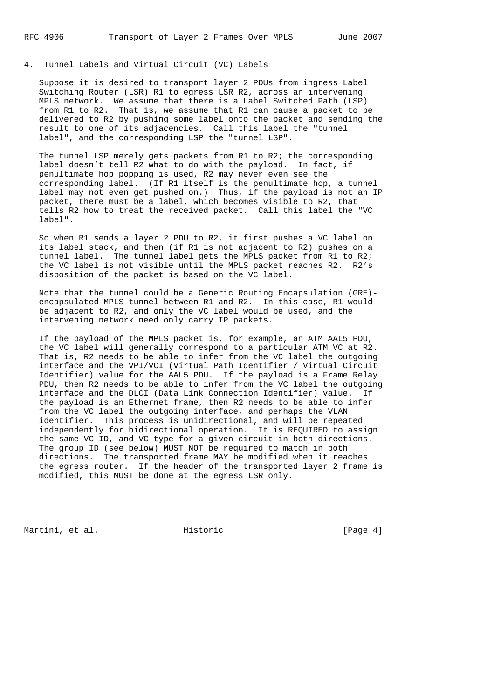4. Tunnel Labels and Virtual Circuit (VC) Labels

 Suppose it is desired to transport layer 2 PDUs from ingress Label Switching Router (LSR) R1 to egress LSR R2, across an intervening MPLS network. We assume that there is a Label Switched Path (LSP) from R1 to R2. That is, we assume that R1 can cause a packet to be delivered to R2 by pushing some label onto the packet and sending the result to one of its adjacencies. Call this label the "tunnel label", and the corresponding LSP the "tunnel LSP".

 The tunnel LSP merely gets packets from R1 to R2; the corresponding label doesn't tell R2 what to do with the payload. In fact, if penultimate hop popping is used, R2 may never even see the corresponding label. (If R1 itself is the penultimate hop, a tunnel label may not even get pushed on.) Thus, if the payload is not an IP packet, there must be a label, which becomes visible to R2, that tells R2 how to treat the received packet. Call this label the "VC label".

 So when R1 sends a layer 2 PDU to R2, it first pushes a VC label on its label stack, and then (if R1 is not adjacent to R2) pushes on a tunnel label. The tunnel label gets the MPLS packet from R1 to R2; the VC label is not visible until the MPLS packet reaches R2. R2's disposition of the packet is based on the VC label.

 Note that the tunnel could be a Generic Routing Encapsulation (GRE) encapsulated MPLS tunnel between R1 and R2. In this case, R1 would be adjacent to R2, and only the VC label would be used, and the intervening network need only carry IP packets.

 If the payload of the MPLS packet is, for example, an ATM AAL5 PDU, the VC label will generally correspond to a particular ATM VC at R2. That is, R2 needs to be able to infer from the VC label the outgoing interface and the VPI/VCI (Virtual Path Identifier / Virtual Circuit Identifier) value for the AAL5 PDU. If the payload is a Frame Relay PDU, then R2 needs to be able to infer from the VC label the outgoing interface and the DLCI (Data Link Connection Identifier) value. If the payload is an Ethernet frame, then R2 needs to be able to infer from the VC label the outgoing interface, and perhaps the VLAN identifier. This process is unidirectional, and will be repeated independently for bidirectional operation. It is REQUIRED to assign the same VC ID, and VC type for a given circuit in both directions. The group ID (see below) MUST NOT be required to match in both directions. The transported frame MAY be modified when it reaches the egress router. If the header of the transported layer 2 frame is modified, this MUST be done at the egress LSR only.

Martini, et al. Historic [Page 4]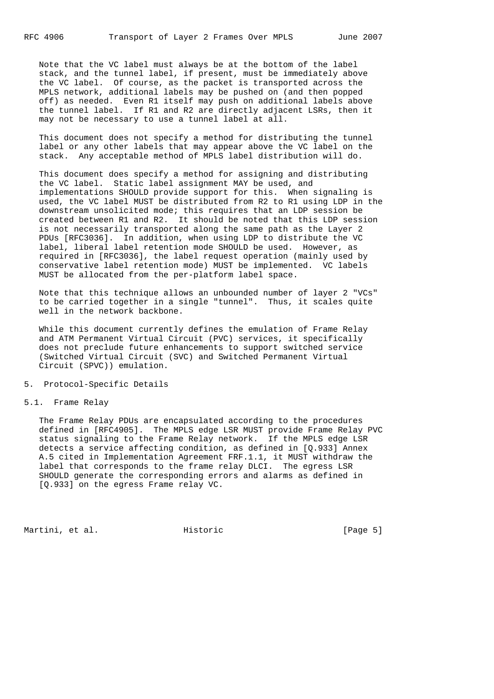Note that the VC label must always be at the bottom of the label stack, and the tunnel label, if present, must be immediately above the VC label. Of course, as the packet is transported across the MPLS network, additional labels may be pushed on (and then popped off) as needed. Even R1 itself may push on additional labels above the tunnel label. If R1 and R2 are directly adjacent LSRs, then it may not be necessary to use a tunnel label at all.

 This document does not specify a method for distributing the tunnel label or any other labels that may appear above the VC label on the stack. Any acceptable method of MPLS label distribution will do.

 This document does specify a method for assigning and distributing the VC label. Static label assignment MAY be used, and implementations SHOULD provide support for this. When signaling is used, the VC label MUST be distributed from R2 to R1 using LDP in the downstream unsolicited mode; this requires that an LDP session be created between R1 and R2. It should be noted that this LDP session is not necessarily transported along the same path as the Layer 2 PDUs [RFC3036]. In addition, when using LDP to distribute the VC label, liberal label retention mode SHOULD be used. However, as required in [RFC3036], the label request operation (mainly used by conservative label retention mode) MUST be implemented. VC labels MUST be allocated from the per-platform label space.

 Note that this technique allows an unbounded number of layer 2 "VCs" to be carried together in a single "tunnel". Thus, it scales quite well in the network backbone.

 While this document currently defines the emulation of Frame Relay and ATM Permanent Virtual Circuit (PVC) services, it specifically does not preclude future enhancements to support switched service (Switched Virtual Circuit (SVC) and Switched Permanent Virtual Circuit (SPVC)) emulation.

5. Protocol-Specific Details

5.1. Frame Relay

 The Frame Relay PDUs are encapsulated according to the procedures defined in [RFC4905]. The MPLS edge LSR MUST provide Frame Relay PVC status signaling to the Frame Relay network. If the MPLS edge LSR detects a service affecting condition, as defined in [Q.933] Annex A.5 cited in Implementation Agreement FRF.1.1, it MUST withdraw the label that corresponds to the frame relay DLCI. The egress LSR SHOULD generate the corresponding errors and alarms as defined in [Q.933] on the egress Frame relay VC.

Martini, et al. Historic [Page 5]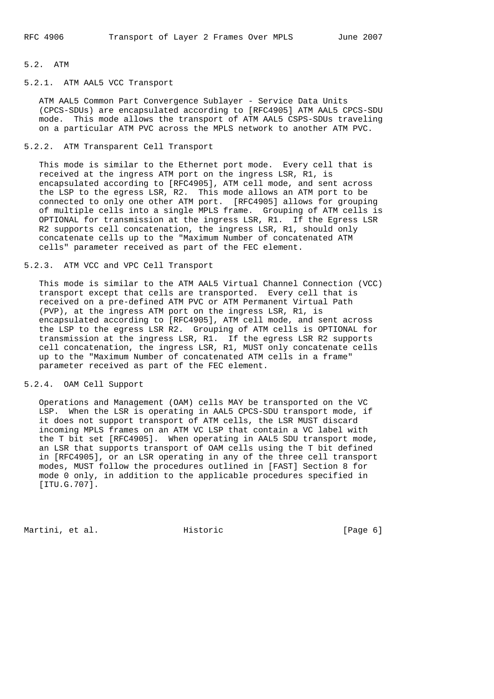#### 5.2. ATM

## 5.2.1. ATM AAL5 VCC Transport

 ATM AAL5 Common Part Convergence Sublayer - Service Data Units (CPCS-SDUs) are encapsulated according to [RFC4905] ATM AAL5 CPCS-SDU mode. This mode allows the transport of ATM AAL5 CSPS-SDUs traveling on a particular ATM PVC across the MPLS network to another ATM PVC.

#### 5.2.2. ATM Transparent Cell Transport

 This mode is similar to the Ethernet port mode. Every cell that is received at the ingress ATM port on the ingress LSR, R1, is encapsulated according to [RFC4905], ATM cell mode, and sent across the LSP to the egress LSR, R2. This mode allows an ATM port to be connected to only one other ATM port. [RFC4905] allows for grouping of multiple cells into a single MPLS frame. Grouping of ATM cells is OPTIONAL for transmission at the ingress LSR, R1. If the Egress LSR R2 supports cell concatenation, the ingress LSR, R1, should only concatenate cells up to the "Maximum Number of concatenated ATM cells" parameter received as part of the FEC element.

### 5.2.3. ATM VCC and VPC Cell Transport

 This mode is similar to the ATM AAL5 Virtual Channel Connection (VCC) transport except that cells are transported. Every cell that is received on a pre-defined ATM PVC or ATM Permanent Virtual Path (PVP), at the ingress ATM port on the ingress LSR, R1, is encapsulated according to [RFC4905], ATM cell mode, and sent across the LSP to the egress LSR R2. Grouping of ATM cells is OPTIONAL for transmission at the ingress LSR, R1. If the egress LSR R2 supports cell concatenation, the ingress LSR, R1, MUST only concatenate cells up to the "Maximum Number of concatenated ATM cells in a frame" parameter received as part of the FEC element.

## 5.2.4. OAM Cell Support

 Operations and Management (OAM) cells MAY be transported on the VC LSP. When the LSR is operating in AAL5 CPCS-SDU transport mode, if it does not support transport of ATM cells, the LSR MUST discard incoming MPLS frames on an ATM VC LSP that contain a VC label with the T bit set [RFC4905]. When operating in AAL5 SDU transport mode, an LSR that supports transport of OAM cells using the T bit defined in [RFC4905], or an LSR operating in any of the three cell transport modes, MUST follow the procedures outlined in [FAST] Section 8 for mode 0 only, in addition to the applicable procedures specified in [ITU.G.707].

Martini, et al. Historic [Page 6]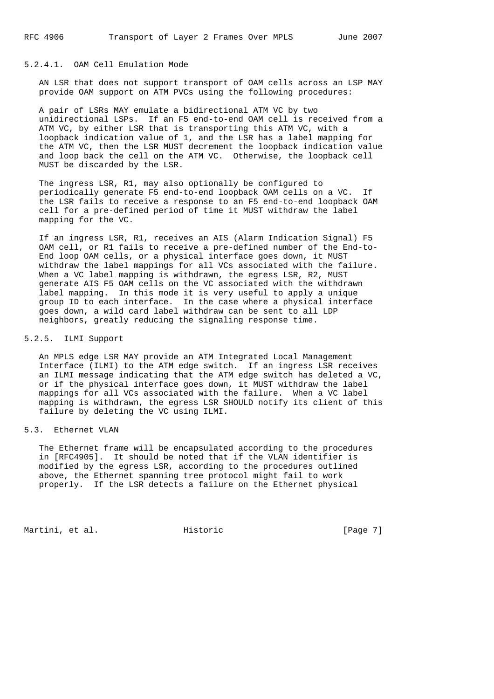### 5.2.4.1. OAM Cell Emulation Mode

 AN LSR that does not support transport of OAM cells across an LSP MAY provide OAM support on ATM PVCs using the following procedures:

 A pair of LSRs MAY emulate a bidirectional ATM VC by two unidirectional LSPs. If an F5 end-to-end OAM cell is received from a ATM VC, by either LSR that is transporting this ATM VC, with a loopback indication value of 1, and the LSR has a label mapping for the ATM VC, then the LSR MUST decrement the loopback indication value and loop back the cell on the ATM VC. Otherwise, the loopback cell MUST be discarded by the LSR.

 The ingress LSR, R1, may also optionally be configured to periodically generate F5 end-to-end loopback OAM cells on a VC. If the LSR fails to receive a response to an F5 end-to-end loopback OAM cell for a pre-defined period of time it MUST withdraw the label mapping for the VC.

 If an ingress LSR, R1, receives an AIS (Alarm Indication Signal) F5 OAM cell, or R1 fails to receive a pre-defined number of the End-to- End loop OAM cells, or a physical interface goes down, it MUST withdraw the label mappings for all VCs associated with the failure. When a VC label mapping is withdrawn, the egress LSR, R2, MUST generate AIS F5 OAM cells on the VC associated with the withdrawn label mapping. In this mode it is very useful to apply a unique group ID to each interface. In the case where a physical interface goes down, a wild card label withdraw can be sent to all LDP neighbors, greatly reducing the signaling response time.

#### 5.2.5. ILMI Support

 An MPLS edge LSR MAY provide an ATM Integrated Local Management Interface (ILMI) to the ATM edge switch. If an ingress LSR receives an ILMI message indicating that the ATM edge switch has deleted a VC, or if the physical interface goes down, it MUST withdraw the label mappings for all VCs associated with the failure. When a VC label mapping is withdrawn, the egress LSR SHOULD notify its client of this failure by deleting the VC using ILMI.

#### 5.3. Ethernet VLAN

 The Ethernet frame will be encapsulated according to the procedures in [RFC4905]. It should be noted that if the VLAN identifier is modified by the egress LSR, according to the procedures outlined above, the Ethernet spanning tree protocol might fail to work properly. If the LSR detects a failure on the Ethernet physical

Martini, et al. Historic [Page 7]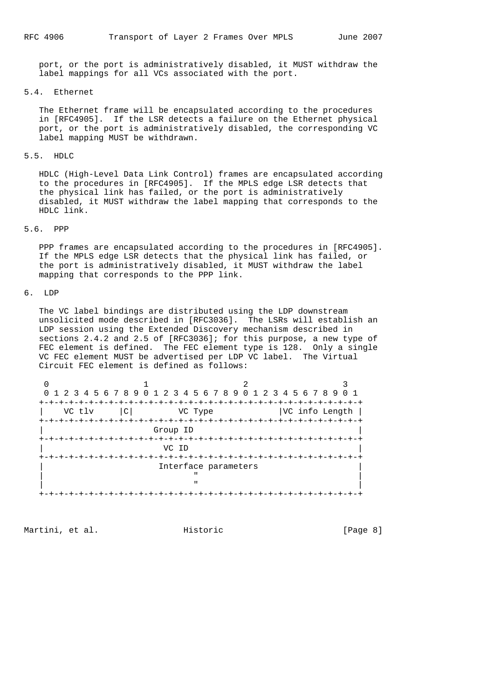port, or the port is administratively disabled, it MUST withdraw the label mappings for all VCs associated with the port.

#### 5.4. Ethernet

 The Ethernet frame will be encapsulated according to the procedures in [RFC4905]. If the LSR detects a failure on the Ethernet physical port, or the port is administratively disabled, the corresponding VC label mapping MUST be withdrawn.

#### 5.5. HDLC

 HDLC (High-Level Data Link Control) frames are encapsulated according to the procedures in [RFC4905]. If the MPLS edge LSR detects that the physical link has failed, or the port is administratively disabled, it MUST withdraw the label mapping that corresponds to the HDLC link.

#### 5.6. PPP

 PPP frames are encapsulated according to the procedures in [RFC4905]. If the MPLS edge LSR detects that the physical link has failed, or the port is administratively disabled, it MUST withdraw the label mapping that corresponds to the PPP link.

## 6. LDP

 The VC label bindings are distributed using the LDP downstream unsolicited mode described in [RFC3036]. The LSRs will establish an LDP session using the Extended Discovery mechanism described in sections 2.4.2 and 2.5 of [RFC3036]; for this purpose, a new type of FEC element is defined. The FEC element type is 128. Only a single VC FEC element MUST be advertised per LDP VC label. The Virtual Circuit FEC element is defined as follows:

|                      | 0 1 2 3 4 5 6 7 8 9 0 1 2 3 4 5 6 7 8 9 0 1 2 3 4 5 6 7 8 9 0 1 |         |  |                |  |  |
|----------------------|-----------------------------------------------------------------|---------|--|----------------|--|--|
|                      |                                                                 |         |  |                |  |  |
| VC tlv               | C                                                               | VC Type |  | VC info Length |  |  |
|                      |                                                                 |         |  |                |  |  |
| Group ID             |                                                                 |         |  |                |  |  |
|                      |                                                                 |         |  |                |  |  |
| VC ID                |                                                                 |         |  |                |  |  |
|                      |                                                                 |         |  |                |  |  |
| Interface parameters |                                                                 |         |  |                |  |  |
|                      |                                                                 |         |  |                |  |  |
|                      |                                                                 |         |  |                |  |  |
|                      |                                                                 |         |  |                |  |  |

Martini, et al. Historic [Page 8]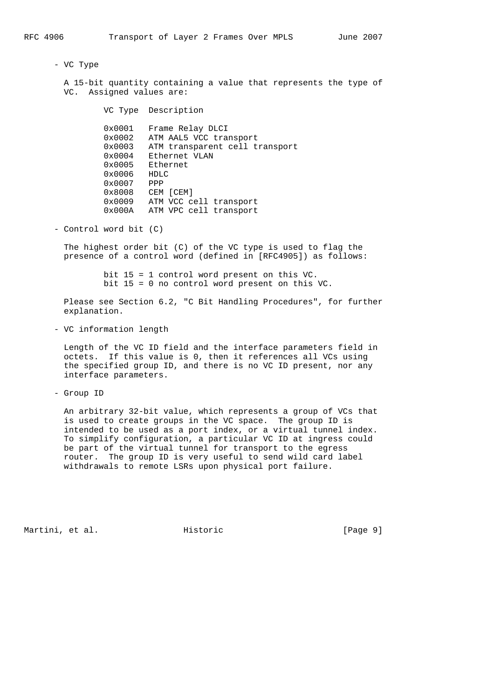- VC Type

 A 15-bit quantity containing a value that represents the type of VC. Assigned values are:

VC Type Description

 0x0001 Frame Relay DLCI 0x0002 ATM AAL5 VCC transport 0x0003 ATM transparent cell transport 0x0004 Ethernet VLAN 0x0005 Ethernet 0x0006 HDLC 0x0007 PPP 0x8008 CEM [CEM] 0x0009 ATM VCC cell transport 0x000A ATM VPC cell transport

- Control word bit (C)

 The highest order bit (C) of the VC type is used to flag the presence of a control word (defined in [RFC4905]) as follows:

> bit 15 = 1 control word present on this VC. bit 15 = 0 no control word present on this VC.

 Please see Section 6.2, "C Bit Handling Procedures", for further explanation.

- VC information length

 Length of the VC ID field and the interface parameters field in octets. If this value is 0, then it references all VCs using the specified group ID, and there is no VC ID present, nor any interface parameters.

- Group ID

 An arbitrary 32-bit value, which represents a group of VCs that is used to create groups in the VC space. The group ID is intended to be used as a port index, or a virtual tunnel index. To simplify configuration, a particular VC ID at ingress could be part of the virtual tunnel for transport to the egress router. The group ID is very useful to send wild card label withdrawals to remote LSRs upon physical port failure.

Martini, et al. Historic [Page 9]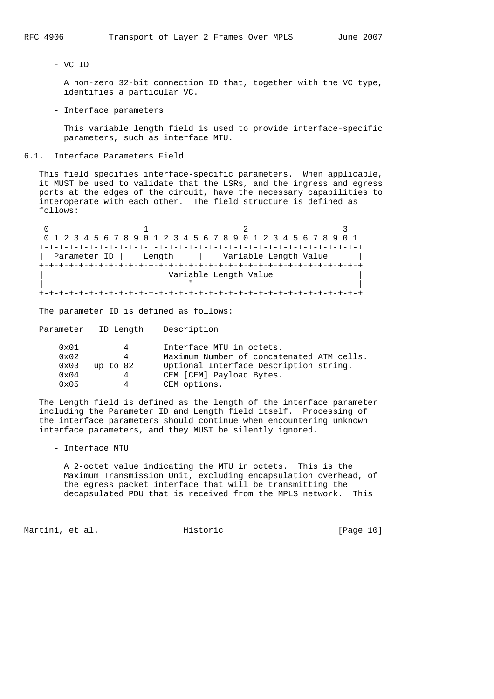- VC ID

 A non-zero 32-bit connection ID that, together with the VC type, identifies a particular VC.

- Interface parameters

 This variable length field is used to provide interface-specific parameters, such as interface MTU.

#### 6.1. Interface Parameters Field

 This field specifies interface-specific parameters. When applicable, it MUST be used to validate that the LSRs, and the ingress and egress ports at the edges of the circuit, have the necessary capabilities to interoperate with each other. The field structure is defined as follows:

0  $1$  2 3 0 1 2 3 4 5 6 7 8 9 0 1 2 3 4 5 6 7 8 9 0 1 2 3 4 5 6 7 8 9 0 1 +-+-+-+-+-+-+-+-+-+-+-+-+-+-+-+-+-+-+-+-+-+-+-+-+-+-+-+-+-+-+-+-+ | Parameter ID | Length | Variable Length Value +-+-+-+-+-+-+-+-+-+-+-+-+-+-+-+-+-+-+-+-+-+-+-+-+-+-+-+-+-+-+-+-+ Variable Length Value | " | +-+-+-+-+-+-+-+-+-+-+-+-+-+-+-+-+-+-+-+-+-+-+-+-+-+-+-+-+-+-+-+-+

The parameter ID is defined as follows:

Parameter ID Length Description

| $0 \times 01$<br>4        | Interface MTU in octets.                  |
|---------------------------|-------------------------------------------|
| $0 \times 02$<br>4        | Maximum Number of concatenated ATM cells. |
| $0 \times 03$<br>up to 82 | Optional Interface Description string.    |
| $0 \times 04$<br>4        | CEM [CEM] Payload Bytes.                  |
| $0 \times 05$<br>4        | CEM options.                              |

 The Length field is defined as the length of the interface parameter including the Parameter ID and Length field itself. Processing of the interface parameters should continue when encountering unknown interface parameters, and they MUST be silently ignored.

- Interface MTU

 A 2-octet value indicating the MTU in octets. This is the Maximum Transmission Unit, excluding encapsulation overhead, of the egress packet interface that will be transmitting the decapsulated PDU that is received from the MPLS network. This

Martini, et al. Historic [Page 10]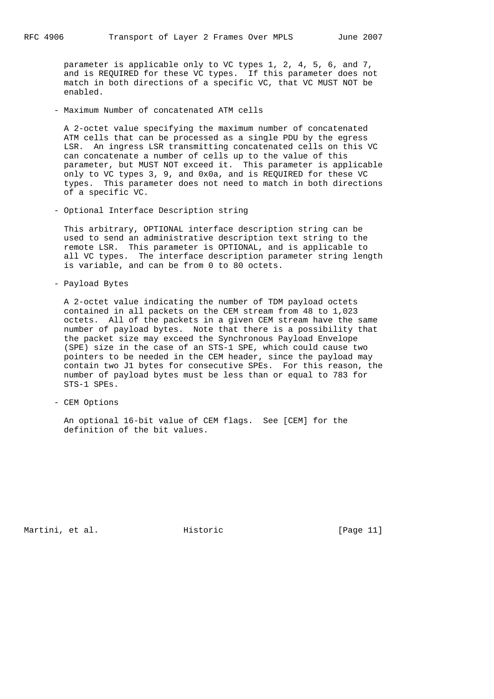parameter is applicable only to VC types 1, 2, 4, 5, 6, and 7, and is REQUIRED for these VC types. If this parameter does not match in both directions of a specific VC, that VC MUST NOT be enabled.

- Maximum Number of concatenated ATM cells

 A 2-octet value specifying the maximum number of concatenated ATM cells that can be processed as a single PDU by the egress LSR. An ingress LSR transmitting concatenated cells on this VC can concatenate a number of cells up to the value of this parameter, but MUST NOT exceed it. This parameter is applicable only to VC types 3, 9, and 0x0a, and is REQUIRED for these VC types. This parameter does not need to match in both directions of a specific VC.

- Optional Interface Description string

 This arbitrary, OPTIONAL interface description string can be used to send an administrative description text string to the remote LSR. This parameter is OPTIONAL, and is applicable to all VC types. The interface description parameter string length is variable, and can be from 0 to 80 octets.

- Payload Bytes

 A 2-octet value indicating the number of TDM payload octets contained in all packets on the CEM stream from 48 to 1,023 octets. All of the packets in a given CEM stream have the same number of payload bytes. Note that there is a possibility that the packet size may exceed the Synchronous Payload Envelope (SPE) size in the case of an STS-1 SPE, which could cause two pointers to be needed in the CEM header, since the payload may contain two J1 bytes for consecutive SPEs. For this reason, the number of payload bytes must be less than or equal to 783 for STS-1 SPEs.

- CEM Options

 An optional 16-bit value of CEM flags. See [CEM] for the definition of the bit values.

Martini, et al. Historic [Page 11]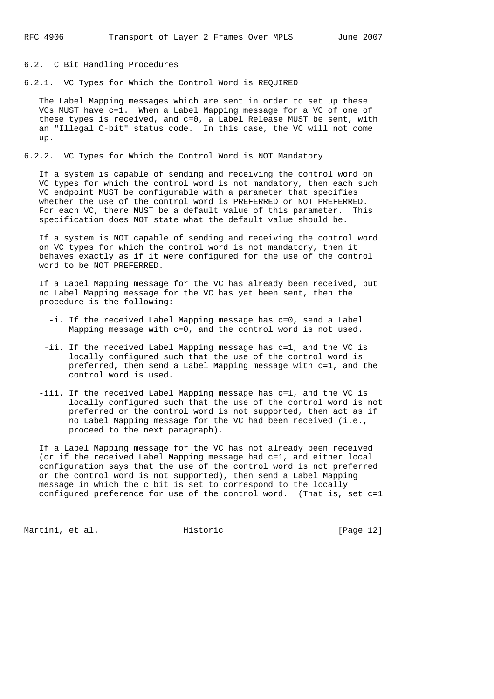## 6.2. C Bit Handling Procedures

6.2.1. VC Types for Which the Control Word is REQUIRED

 The Label Mapping messages which are sent in order to set up these VCs MUST have c=1. When a Label Mapping message for a VC of one of these types is received, and c=0, a Label Release MUST be sent, with an "Illegal C-bit" status code. In this case, the VC will not come up.

#### 6.2.2. VC Types for Which the Control Word is NOT Mandatory

 If a system is capable of sending and receiving the control word on VC types for which the control word is not mandatory, then each such VC endpoint MUST be configurable with a parameter that specifies whether the use of the control word is PREFERRED or NOT PREFERRED. For each VC, there MUST be a default value of this parameter. This specification does NOT state what the default value should be.

 If a system is NOT capable of sending and receiving the control word on VC types for which the control word is not mandatory, then it behaves exactly as if it were configured for the use of the control word to be NOT PREFERRED.

 If a Label Mapping message for the VC has already been received, but no Label Mapping message for the VC has yet been sent, then the procedure is the following:

- -i. If the received Label Mapping message has c=0, send a Label Mapping message with c=0, and the control word is not used.
- -ii. If the received Label Mapping message has c=1, and the VC is locally configured such that the use of the control word is preferred, then send a Label Mapping message with c=1, and the control word is used.
- -iii. If the received Label Mapping message has c=1, and the VC is locally configured such that the use of the control word is not preferred or the control word is not supported, then act as if no Label Mapping message for the VC had been received (i.e., proceed to the next paragraph).

 If a Label Mapping message for the VC has not already been received (or if the received Label Mapping message had c=1, and either local configuration says that the use of the control word is not preferred or the control word is not supported), then send a Label Mapping message in which the c bit is set to correspond to the locally configured preference for use of the control word. (That is, set c=1

Martini, et al. Historic [Page 12]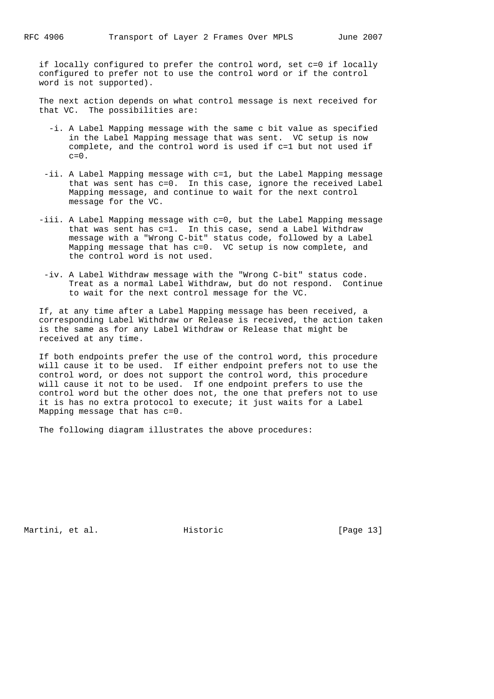if locally configured to prefer the control word, set c=0 if locally configured to prefer not to use the control word or if the control word is not supported).

 The next action depends on what control message is next received for that VC. The possibilities are:

- -i. A Label Mapping message with the same c bit value as specified in the Label Mapping message that was sent. VC setup is now complete, and the control word is used if c=1 but not used if  $c=0$ .
- -ii. A Label Mapping message with c=1, but the Label Mapping message that was sent has c=0. In this case, ignore the received Label Mapping message, and continue to wait for the next control message for the VC.
- -iii. A Label Mapping message with c=0, but the Label Mapping message that was sent has c=1. In this case, send a Label Withdraw message with a "Wrong C-bit" status code, followed by a Label Mapping message that has c=0. VC setup is now complete, and the control word is not used.
- -iv. A Label Withdraw message with the "Wrong C-bit" status code. Treat as a normal Label Withdraw, but do not respond. Continue to wait for the next control message for the VC.

 If, at any time after a Label Mapping message has been received, a corresponding Label Withdraw or Release is received, the action taken is the same as for any Label Withdraw or Release that might be received at any time.

 If both endpoints prefer the use of the control word, this procedure will cause it to be used. If either endpoint prefers not to use the control word, or does not support the control word, this procedure will cause it not to be used. If one endpoint prefers to use the control word but the other does not, the one that prefers not to use it is has no extra protocol to execute; it just waits for a Label Mapping message that has c=0.

The following diagram illustrates the above procedures:

Martini, et al. Historic [Page 13]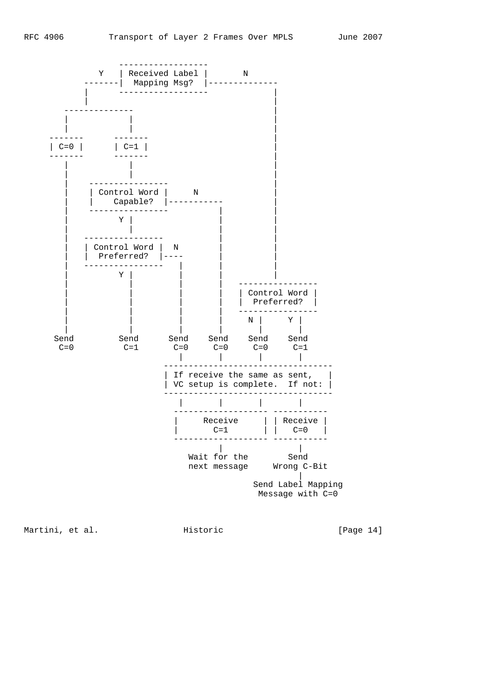

Martini, et al. Historic [Page 14]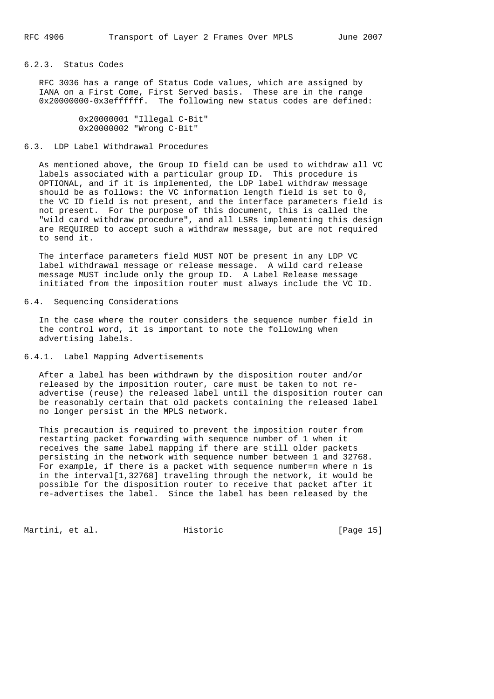## 6.2.3. Status Codes

 RFC 3036 has a range of Status Code values, which are assigned by IANA on a First Come, First Served basis. These are in the range 0x20000000-0x3effffff. The following new status codes are defined:

> 0x20000001 "Illegal C-Bit" 0x20000002 "Wrong C-Bit"

## 6.3. LDP Label Withdrawal Procedures

 As mentioned above, the Group ID field can be used to withdraw all VC labels associated with a particular group ID. This procedure is OPTIONAL, and if it is implemented, the LDP label withdraw message should be as follows: the VC information length field is set to 0, the VC ID field is not present, and the interface parameters field is not present. For the purpose of this document, this is called the "wild card withdraw procedure", and all LSRs implementing this design are REQUIRED to accept such a withdraw message, but are not required to send it.

 The interface parameters field MUST NOT be present in any LDP VC label withdrawal message or release message. A wild card release message MUST include only the group ID. A Label Release message initiated from the imposition router must always include the VC ID.

#### 6.4. Sequencing Considerations

 In the case where the router considers the sequence number field in the control word, it is important to note the following when advertising labels.

## 6.4.1. Label Mapping Advertisements

 After a label has been withdrawn by the disposition router and/or released by the imposition router, care must be taken to not re advertise (reuse) the released label until the disposition router can be reasonably certain that old packets containing the released label no longer persist in the MPLS network.

 This precaution is required to prevent the imposition router from restarting packet forwarding with sequence number of 1 when it receives the same label mapping if there are still older packets persisting in the network with sequence number between 1 and 32768. For example, if there is a packet with sequence number=n where n is in the interval[1,32768] traveling through the network, it would be possible for the disposition router to receive that packet after it re-advertises the label. Since the label has been released by the

Martini, et al. Historic [Page 15]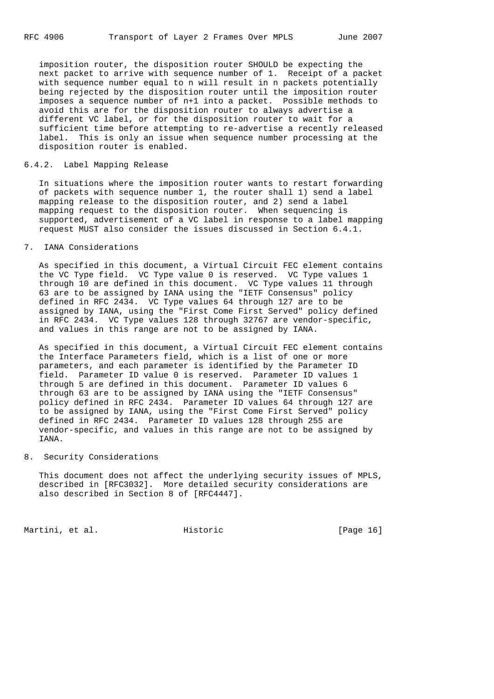imposition router, the disposition router SHOULD be expecting the next packet to arrive with sequence number of 1. Receipt of a packet with sequence number equal to n will result in n packets potentially being rejected by the disposition router until the imposition router imposes a sequence number of n+1 into a packet. Possible methods to avoid this are for the disposition router to always advertise a different VC label, or for the disposition router to wait for a sufficient time before attempting to re-advertise a recently released label. This is only an issue when sequence number processing at the disposition router is enabled.

## 6.4.2. Label Mapping Release

 In situations where the imposition router wants to restart forwarding of packets with sequence number 1, the router shall 1) send a label mapping release to the disposition router, and 2) send a label mapping request to the disposition router. When sequencing is supported, advertisement of a VC label in response to a label mapping request MUST also consider the issues discussed in Section 6.4.1.

## 7. IANA Considerations

 As specified in this document, a Virtual Circuit FEC element contains the VC Type field. VC Type value 0 is reserved. VC Type values 1 through 10 are defined in this document. VC Type values 11 through 63 are to be assigned by IANA using the "IETF Consensus" policy defined in RFC 2434. VC Type values 64 through 127 are to be assigned by IANA, using the "First Come First Served" policy defined in RFC 2434. VC Type values 128 through 32767 are vendor-specific, and values in this range are not to be assigned by IANA.

 As specified in this document, a Virtual Circuit FEC element contains the Interface Parameters field, which is a list of one or more parameters, and each parameter is identified by the Parameter ID field. Parameter ID value 0 is reserved. Parameter ID values 1 through 5 are defined in this document. Parameter ID values 6 through 63 are to be assigned by IANA using the "IETF Consensus" policy defined in RFC 2434. Parameter ID values 64 through 127 are to be assigned by IANA, using the "First Come First Served" policy defined in RFC 2434. Parameter ID values 128 through 255 are vendor-specific, and values in this range are not to be assigned by IANA.

#### 8. Security Considerations

 This document does not affect the underlying security issues of MPLS, described in [RFC3032]. More detailed security considerations are also described in Section 8 of [RFC4447].

Martini, et al. Historic [Page 16]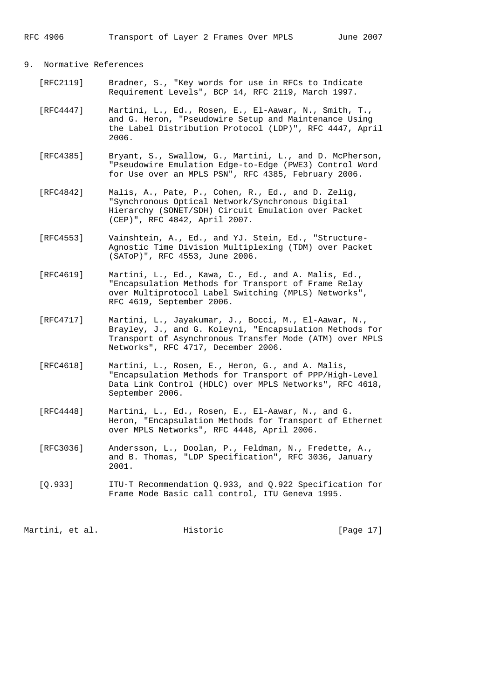## 9. Normative References

- [RFC2119] Bradner, S., "Key words for use in RFCs to Indicate Requirement Levels", BCP 14, RFC 2119, March 1997.
- [RFC4447] Martini, L., Ed., Rosen, E., El-Aawar, N., Smith, T., and G. Heron, "Pseudowire Setup and Maintenance Using the Label Distribution Protocol (LDP)", RFC 4447, April 2006.
- [RFC4385] Bryant, S., Swallow, G., Martini, L., and D. McPherson, "Pseudowire Emulation Edge-to-Edge (PWE3) Control Word for Use over an MPLS PSN", RFC 4385, February 2006.
- [RFC4842] Malis, A., Pate, P., Cohen, R., Ed., and D. Zelig, "Synchronous Optical Network/Synchronous Digital Hierarchy (SONET/SDH) Circuit Emulation over Packet (CEP)", RFC 4842, April 2007.
- [RFC4553] Vainshtein, A., Ed., and YJ. Stein, Ed., "Structure- Agnostic Time Division Multiplexing (TDM) over Packet (SAToP)", RFC 4553, June 2006.
- [RFC4619] Martini, L., Ed., Kawa, C., Ed., and A. Malis, Ed., "Encapsulation Methods for Transport of Frame Relay over Multiprotocol Label Switching (MPLS) Networks", RFC 4619, September 2006.
- [RFC4717] Martini, L., Jayakumar, J., Bocci, M., El-Aawar, N., Brayley, J., and G. Koleyni, "Encapsulation Methods for Transport of Asynchronous Transfer Mode (ATM) over MPLS Networks", RFC 4717, December 2006.
- [RFC4618] Martini, L., Rosen, E., Heron, G., and A. Malis, "Encapsulation Methods for Transport of PPP/High-Level Data Link Control (HDLC) over MPLS Networks", RFC 4618, September 2006.
- [RFC4448] Martini, L., Ed., Rosen, E., El-Aawar, N., and G. Heron, "Encapsulation Methods for Transport of Ethernet over MPLS Networks", RFC 4448, April 2006.
- [RFC3036] Andersson, L., Doolan, P., Feldman, N., Fredette, A., and B. Thomas, "LDP Specification", RFC 3036, January 2001.
- [Q.933] ITU-T Recommendation Q.933, and Q.922 Specification for Frame Mode Basic call control, ITU Geneva 1995.

Martini, et al. Historic [Page 17]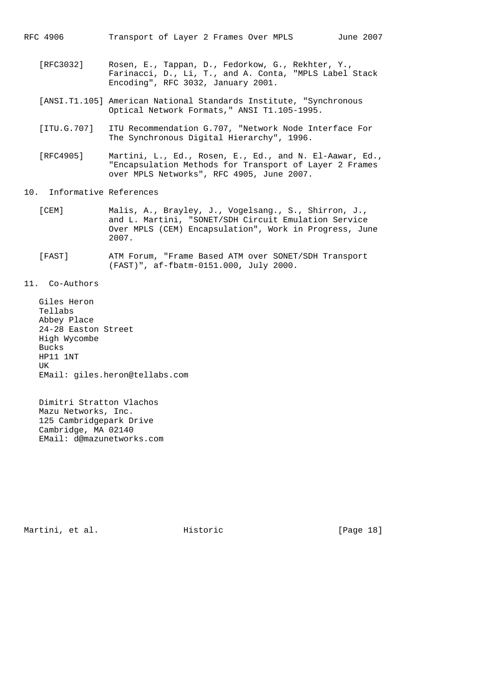RFC 4906 Transport of Layer 2 Frames Over MPLS June 2007

- [RFC3032] Rosen, E., Tappan, D., Fedorkow, G., Rekhter, Y., Farinacci, D., Li, T., and A. Conta, "MPLS Label Stack Encoding", RFC 3032, January 2001.
- [ANSI.T1.105] American National Standards Institute, "Synchronous Optical Network Formats," ANSI T1.105-1995.
- [ITU.G.707] ITU Recommendation G.707, "Network Node Interface For The Synchronous Digital Hierarchy", 1996.
- [RFC4905] Martini, L., Ed., Rosen, E., Ed., and N. El-Aawar, Ed., "Encapsulation Methods for Transport of Layer 2 Frames over MPLS Networks", RFC 4905, June 2007.

## 10. Informative References

- [CEM] Malis, A., Brayley, J., Vogelsang., S., Shirron, J., and L. Martini, "SONET/SDH Circuit Emulation Service Over MPLS (CEM) Encapsulation", Work in Progress, June 2007.
- [FAST] ATM Forum, "Frame Based ATM over SONET/SDH Transport (FAST)", af-fbatm-0151.000, July 2000.

11. Co-Authors

 Giles Heron Tellabs Abbey Place 24-28 Easton Street High Wycombe Bucks HP11 1NT UK EMail: giles.heron@tellabs.com

 Dimitri Stratton Vlachos Mazu Networks, Inc. 125 Cambridgepark Drive Cambridge, MA 02140 EMail: d@mazunetworks.com

Martini, et al. Historic [Page 18]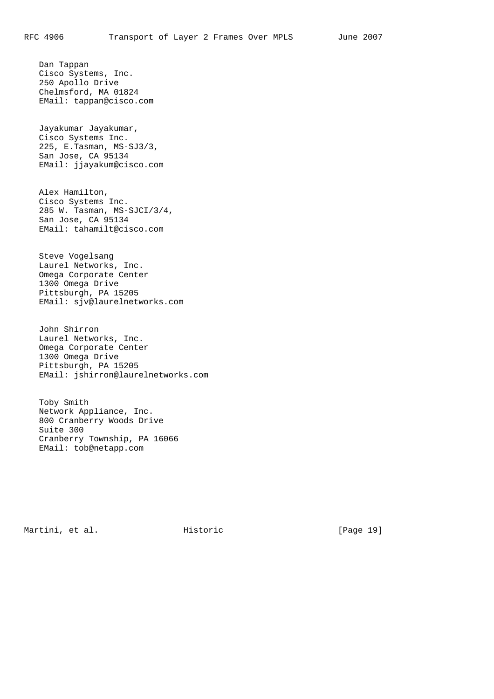Dan Tappan

 Cisco Systems, Inc. 250 Apollo Drive Chelmsford, MA 01824 EMail: tappan@cisco.com Jayakumar Jayakumar, Cisco Systems Inc. 225, E.Tasman, MS-SJ3/3, San Jose, CA 95134

 Alex Hamilton, Cisco Systems Inc. 285 W. Tasman, MS-SJCI/3/4, San Jose, CA 95134 EMail: tahamilt@cisco.com

EMail: jjayakum@cisco.com

 Steve Vogelsang Laurel Networks, Inc. Omega Corporate Center 1300 Omega Drive Pittsburgh, PA 15205 EMail: sjv@laurelnetworks.com

 John Shirron Laurel Networks, Inc. Omega Corporate Center 1300 Omega Drive Pittsburgh, PA 15205 EMail: jshirron@laurelnetworks.com

 Toby Smith Network Appliance, Inc. 800 Cranberry Woods Drive Suite 300 Cranberry Township, PA 16066 EMail: tob@netapp.com

Martini, et al. Historic [Page 19]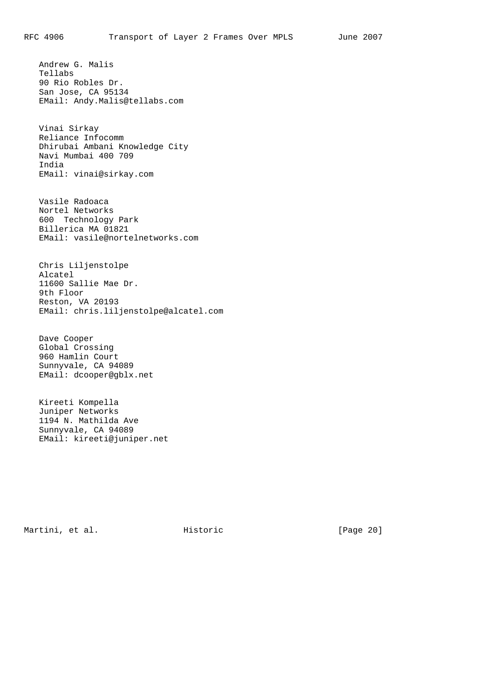Andrew G. Malis Tellabs 90 Rio Robles Dr. San Jose, CA 95134 EMail: Andy.Malis@tellabs.com

 Vinai Sirkay Reliance Infocomm Dhirubai Ambani Knowledge City Navi Mumbai 400 709 India EMail: vinai@sirkay.com

 Vasile Radoaca Nortel Networks 600 Technology Park Billerica MA 01821 EMail: vasile@nortelnetworks.com

 Chris Liljenstolpe Alcatel 11600 Sallie Mae Dr. 9th Floor Reston, VA 20193 EMail: chris.liljenstolpe@alcatel.com

 Dave Cooper Global Crossing 960 Hamlin Court Sunnyvale, CA 94089 EMail: dcooper@gblx.net

 Kireeti Kompella Juniper Networks 1194 N. Mathilda Ave Sunnyvale, CA 94089 EMail: kireeti@juniper.net

Martini, et al. Historic [Page 20]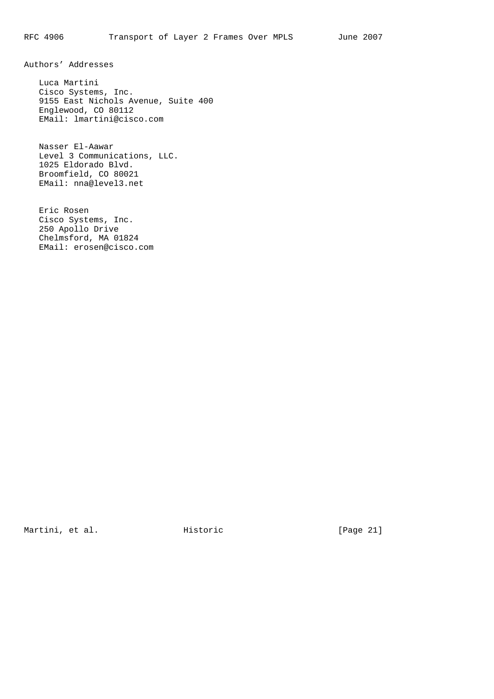Authors' Addresses

 Luca Martini Cisco Systems, Inc. 9155 East Nichols Avenue, Suite 400 Englewood, CO 80112 EMail: lmartini@cisco.com

 Nasser El-Aawar Level 3 Communications, LLC. 1025 Eldorado Blvd. Broomfield, CO 80021 EMail: nna@level3.net

 Eric Rosen Cisco Systems, Inc. 250 Apollo Drive Chelmsford, MA 01824 EMail: erosen@cisco.com

Martini, et al. 1. The Mistoric Electronic Electronic Electronic Electronic Martini, et al.